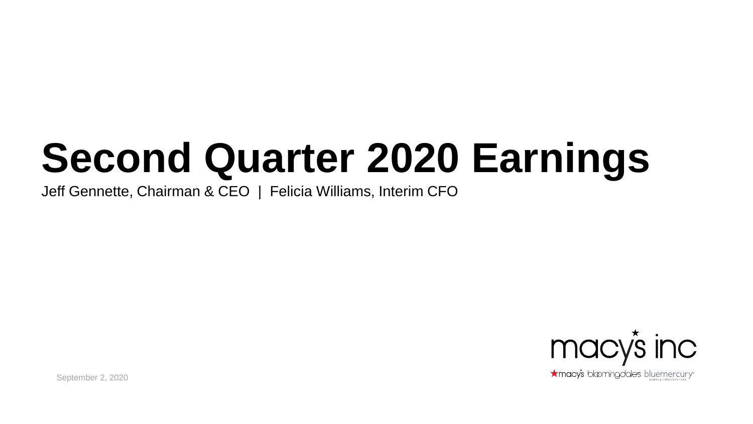# **Second Quarter 2020 Earnings**

Jeff Gennette, Chairman & CEO | Felicia Williams, Interim CFO



September 2, 2020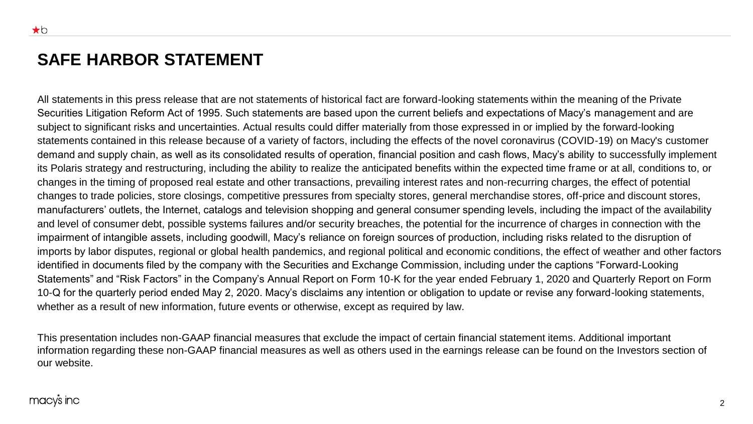# **SAFE HARBOR STATEMENT**

All statements in this press release that are not statements of historical fact are forward-looking statements within the meaning of the Private Securities Litigation Reform Act of 1995. Such statements are based upon the current beliefs and expectations of Macy's management and are subject to significant risks and uncertainties. Actual results could differ materially from those expressed in or implied by the forward-looking statements contained in this release because of a variety of factors, including the effects of the novel coronavirus (COVID-19) on Macy's customer demand and supply chain, as well as its consolidated results of operation, financial position and cash flows, Macy's ability to successfully implement its Polaris strategy and restructuring, including the ability to realize the anticipated benefits within the expected time frame or at all, conditions to, or changes in the timing of proposed real estate and other transactions, prevailing interest rates and non-recurring charges, the effect of potential changes to trade policies, store closings, competitive pressures from specialty stores, general merchandise stores, off-price and discount stores, manufacturers' outlets, the Internet, catalogs and television shopping and general consumer spending levels, including the impact of the availability and level of consumer debt, possible systems failures and/or security breaches, the potential for the incurrence of charges in connection with the impairment of intangible assets, including goodwill, Macy's reliance on foreign sources of production, including risks related to the disruption of imports by labor disputes, regional or global health pandemics, and regional political and economic conditions, the effect of weather and other factors identified in documents filed by the company with the Securities and Exchange Commission, including under the captions "Forward-Looking Statements" and "Risk Factors" in the Company's Annual Report on Form 10-K for the year ended February 1, 2020 and Quarterly Report on Form 10-Q for the quarterly period ended May 2, 2020. Macy's disclaims any intention or obligation to update or revise any forward-looking statements, whether as a result of new information, future events or otherwise, except as required by law.

This presentation includes non-GAAP financial measures that exclude the impact of certain financial statement items. Additional important information regarding these non-GAAP financial measures as well as others used in the earnings release can be found on the Investors section of our website.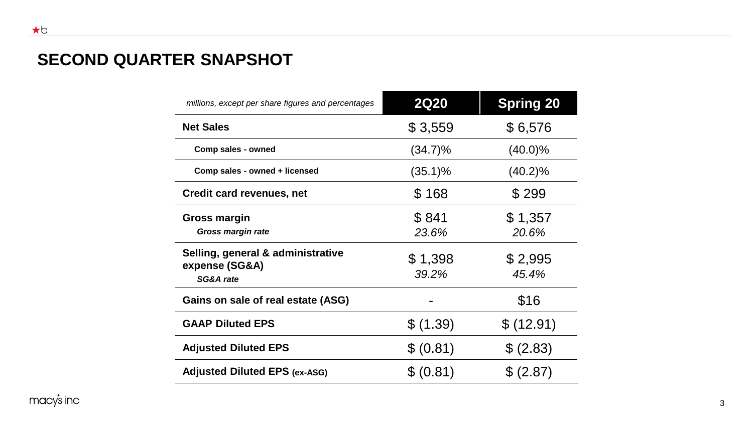# **SECOND QUARTER SNAPSHOT**

| millions, except per share figures and percentages               | <b>2Q20</b>      | <b>Spring 20</b> |
|------------------------------------------------------------------|------------------|------------------|
| <b>Net Sales</b>                                                 | \$3,559          | \$6,576          |
| Comp sales - owned                                               | $(34.7)\%$       | $(40.0)\%$       |
| Comp sales - owned + licensed                                    | $(35.1)\%$       | (40.2)%          |
| Credit card revenues, net                                        | \$168            | \$299            |
| Gross margin<br>Gross margin rate                                | \$841<br>23.6%   | \$1,357<br>20.6% |
| Selling, general & administrative<br>expense (SG&A)<br>SG&A rate | \$1,398<br>39.2% | \$2,995<br>45.4% |
| Gains on sale of real estate (ASG)                               |                  | \$16             |
| <b>GAAP Diluted EPS</b>                                          | \$(1.39)         | \$(12.91)        |
| <b>Adjusted Diluted EPS</b>                                      | \$ (0.81)        | \$ (2.83)        |
| <b>Adjusted Diluted EPS (ex-ASG)</b>                             | \$ (0.81)        | \$ (2.87)        |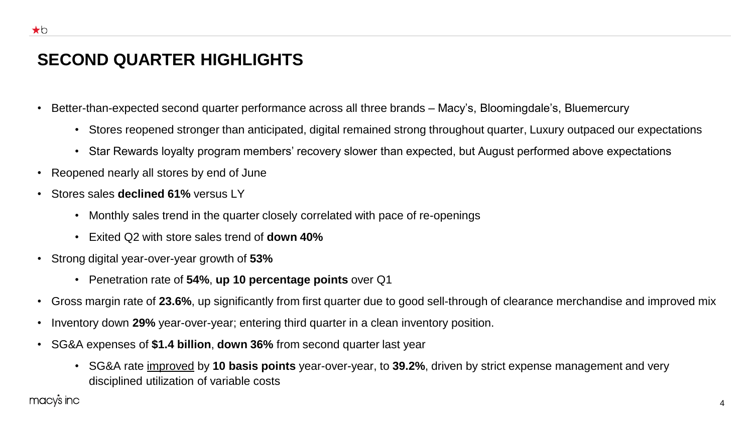# **SECOND QUARTER HIGHLIGHTS**

- Better-than-expected second quarter performance across all three brands Macy's, Bloomingdale's, Bluemercury
	- Stores reopened stronger than anticipated, digital remained strong throughout quarter, Luxury outpaced our expectations
	- Star Rewards loyalty program members' recovery slower than expected, but August performed above expectations
- Reopened nearly all stores by end of June
- Stores sales **declined 61%** versus LY
	- Monthly sales trend in the quarter closely correlated with pace of re-openings
	- Exited Q2 with store sales trend of **down 40%**
- Strong digital year-over-year growth of **53%**
	- Penetration rate of **54%**, **up 10 percentage points** over Q1
- Gross margin rate of **23.6%**, up significantly from first quarter due to good sell-through of clearance merchandise and improved mix
- Inventory down **29%** year-over-year; entering third quarter in a clean inventory position.
- SG&A expenses of **\$1.4 billion**, **down 36%** from second quarter last year
	- SG&A rate improved by **10 basis points** year-over-year, to **39.2%**, driven by strict expense management and very disciplined utilization of variable costs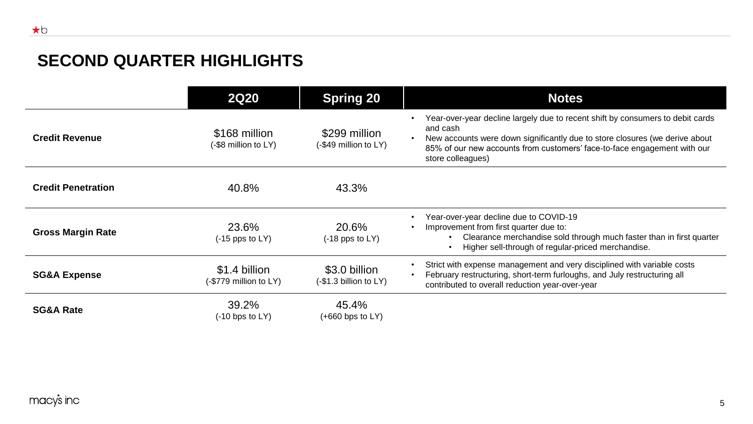# **SECOND QUARTER HIGHLIGHTS**

|                           | <b>2Q20</b>                             | <b>Spring 20</b>                        | <b>Notes</b>                                                                                                                                                                                                                                                               |
|---------------------------|-----------------------------------------|-----------------------------------------|----------------------------------------------------------------------------------------------------------------------------------------------------------------------------------------------------------------------------------------------------------------------------|
| <b>Credit Revenue</b>     | \$168 million<br>(-\$8 million to LY)   | \$299 million<br>(-\$49 million to LY)  | Year-over-year decline largely due to recent shift by consumers to debit cards<br>and cash<br>New accounts were down significantly due to store closures (we derive about<br>85% of our new accounts from customers' face-to-face engagement with our<br>store colleagues) |
| <b>Credit Penetration</b> | 40.8%                                   | 43.3%                                   |                                                                                                                                                                                                                                                                            |
| <b>Gross Margin Rate</b>  | 23.6%<br>$(-15$ pps to LY)              | 20.6%<br>$(-18$ pps to LY)              | Year-over-year decline due to COVID-19<br>Improvement from first quarter due to:<br>Clearance merchandise sold through much faster than in first quarter<br>$\bullet$<br>Higher sell-through of regular-priced merchandise.                                                |
| <b>SG&amp;A Expense</b>   | \$1.4 billion<br>(-\$779 million to LY) | \$3.0 billion<br>(-\$1.3 billion to LY) | Strict with expense management and very disciplined with variable costs<br>٠<br>February restructuring, short-term furloughs, and July restructuring all<br>contributed to overall reduction year-over-year                                                                |
| <b>SG&amp;A Rate</b>      | 39.2%<br>$(-10 \text{ bps to LY})$      | 45.4%<br>$(+660$ bps to LY)             |                                                                                                                                                                                                                                                                            |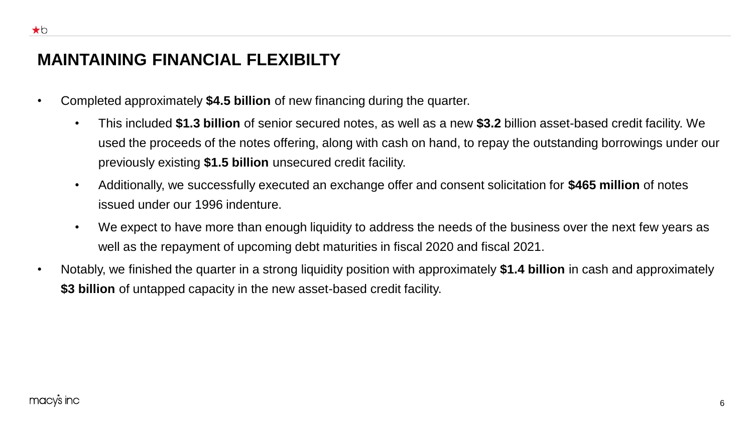# **MAINTAINING FINANCIAL FLEXIBILTY**

- Completed approximately **\$4.5 billion** of new financing during the quarter.
	- This included **\$1.3 billion** of senior secured notes, as well as a new **\$3.2** billion asset-based credit facility. We used the proceeds of the notes offering, along with cash on hand, to repay the outstanding borrowings under our previously existing **\$1.5 billion** unsecured credit facility.
	- Additionally, we successfully executed an exchange offer and consent solicitation for **\$465 million** of notes issued under our 1996 indenture.
	- We expect to have more than enough liquidity to address the needs of the business over the next few years as well as the repayment of upcoming debt maturities in fiscal 2020 and fiscal 2021.
- Notably, we finished the quarter in a strong liquidity position with approximately **\$1.4 billion** in cash and approximately **\$3 billion** of untapped capacity in the new asset-based credit facility.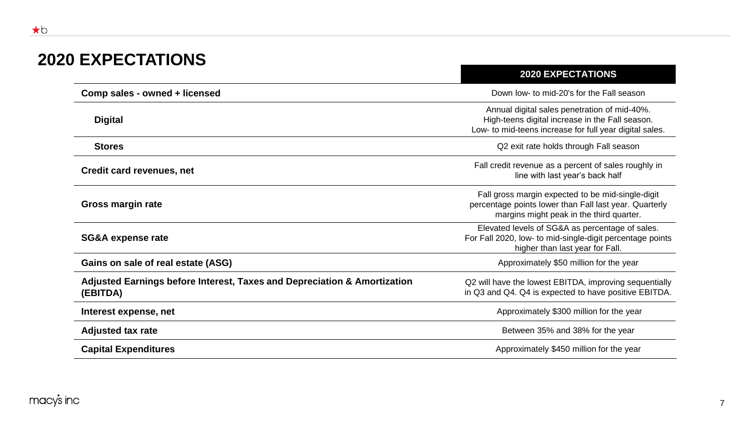# **2020 EXPECTATIONS**

|                                                                                      | <b>2020 EXPECTATIONS</b>                                                                                                                                   |
|--------------------------------------------------------------------------------------|------------------------------------------------------------------------------------------------------------------------------------------------------------|
| Comp sales - owned + licensed                                                        | Down low- to mid-20's for the Fall season                                                                                                                  |
| <b>Digital</b>                                                                       | Annual digital sales penetration of mid-40%.<br>High-teens digital increase in the Fall season.<br>Low- to mid-teens increase for full year digital sales. |
| <b>Stores</b>                                                                        | Q2 exit rate holds through Fall season                                                                                                                     |
| Credit card revenues, net                                                            | Fall credit revenue as a percent of sales roughly in<br>line with last year's back half                                                                    |
| Gross margin rate                                                                    | Fall gross margin expected to be mid-single-digit<br>percentage points lower than Fall last year. Quarterly<br>margins might peak in the third quarter.    |
| SG&A expense rate                                                                    | Elevated levels of SG&A as percentage of sales.<br>For Fall 2020, low- to mid-single-digit percentage points<br>higher than last year for Fall.            |
| Gains on sale of real estate (ASG)                                                   | Approximately \$50 million for the year                                                                                                                    |
| Adjusted Earnings before Interest, Taxes and Depreciation & Amortization<br>(EBITDA) | Q2 will have the lowest EBITDA, improving sequentially<br>in Q3 and Q4. Q4 is expected to have positive EBITDA.                                            |
| Interest expense, net                                                                | Approximately \$300 million for the year                                                                                                                   |
| <b>Adjusted tax rate</b>                                                             | Between 35% and 38% for the year                                                                                                                           |
| <b>Capital Expenditures</b>                                                          | Approximately \$450 million for the year                                                                                                                   |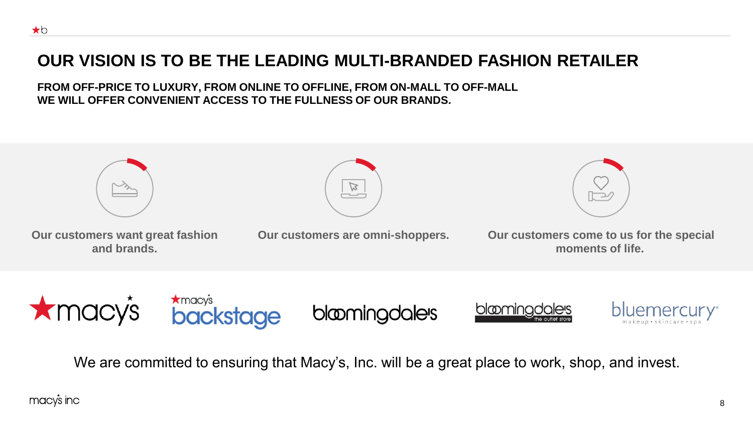# **OUR VISION IS TO BE THE LEADING MULTI-BRANDED FASHION RETAILER**

**FROM OFF-PRICE TO LUXURY, FROM ONLINE TO OFFLINE, FROM ON-MALL TO OFF-MALL WE WILL OFFER CONVENIENT ACCESS TO THE FULLNESS OF OUR BRANDS.** 



We are committed to ensuring that Macy's, Inc. will be a great place to work, shop, and invest.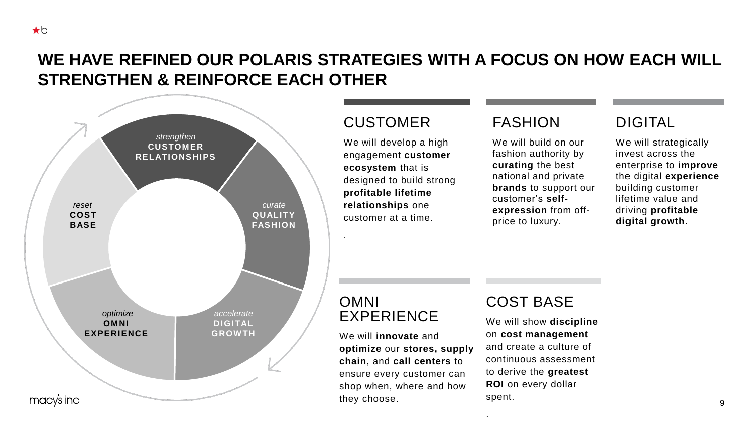# **WE HAVE REFINED OUR POLARIS STRATEGIES WITH A FOCUS ON HOW EACH WILL STRENGTHEN & REINFORCE EACH OTHER**



# CUSTOMER

We will develop a high engagement **customer ecosystem** that is designed to build strong **profitable lifetime relationships** one customer at a time.

# FASHION

We will build on our fashion authority by **curating** the best national and private **brands** to support our customer's **selfexpression** from offprice to luxury.

# DIGITAL

We will strategically invest across the enterprise to **improve** the digital **experience** building customer lifetime value and driving **profitable digital growth**.

## OMNI **EXPERIENCE**

.

We will **innovate** and **optimize** our **stores, supply chain**, and **call centers** to ensure every customer can shop when, where and how they choose.

# COST BASE

We will show **discipline** on **cost management**  and create a culture of continuous assessment to derive the **greatest ROI** on every dollar spent.

.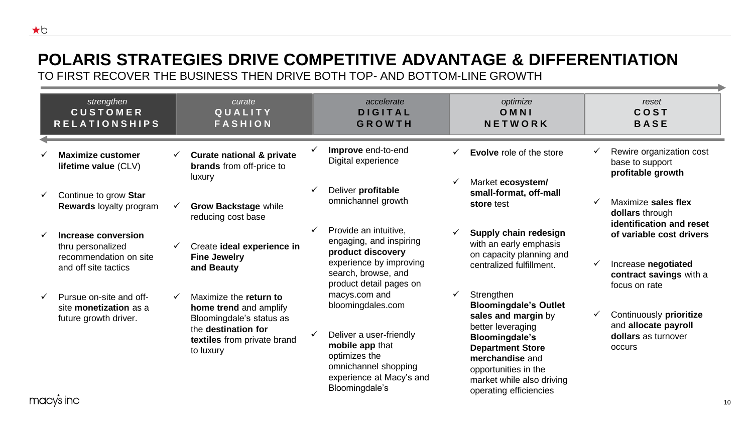# **POLARIS STRATEGIES DRIVE COMPETITIVE ADVANTAGE & DIFFERENTIATION**

TO FIRST RECOVER THE BUSINESS THEN DRIVE BOTH TOP- AND BOTTOM-LINE GROWTH

| strengthen<br><b>CUSTOMER</b><br><b>RELATIONSHIPS</b>                                      |   | curate<br>QUALITY<br><b>FASHION</b>                                                                                                             |              | accelerate<br><b>DIGITAL</b><br>GROWTH                                                                                                                                                             | optimize<br>OMNI<br>NETWORK                                                                                                                                                                                                           |   | reset<br>COST<br><b>BASE</b>                                                                           |
|--------------------------------------------------------------------------------------------|---|-------------------------------------------------------------------------------------------------------------------------------------------------|--------------|----------------------------------------------------------------------------------------------------------------------------------------------------------------------------------------------------|---------------------------------------------------------------------------------------------------------------------------------------------------------------------------------------------------------------------------------------|---|--------------------------------------------------------------------------------------------------------|
| <b>Maximize customer</b><br>lifetime value (CLV)                                           |   | <b>Curate national &amp; private</b><br>brands from off-price to<br>luxury                                                                      |              | Improve end-to-end<br>Digital experience                                                                                                                                                           | <b>Evolve</b> role of the store                                                                                                                                                                                                       | ✓ | Rewire organization cost<br>base to support<br>profitable growth                                       |
| Continue to grow Star<br><b>Rewards loyalty program</b>                                    | ✓ | <b>Grow Backstage while</b><br>reducing cost base                                                                                               |              | Deliver profitable<br>omnichannel growth                                                                                                                                                           | Market ecosystem/<br>small-format, off-mall<br>store test                                                                                                                                                                             | ✓ | Maximize sales flex<br>dollars through                                                                 |
| Increase conversion<br>thru personalized<br>recommendation on site<br>and off site tactics |   | Create ideal experience in<br><b>Fine Jewelry</b><br>and Beauty                                                                                 |              | Provide an intuitive.<br>engaging, and inspiring<br>product discovery<br>experience by improving<br>search, browse, and                                                                            | Supply chain redesign<br>with an early emphasis<br>on capacity planning and<br>centralized fulfillment.                                                                                                                               |   | identification and reset<br>of variable cost drivers<br>Increase negotiated<br>contract savings with a |
| Pursue on-site and off-<br>site monetization as a<br>future growth driver.                 |   | Maximize the return to<br>home trend and amplify<br>Bloomingdale's status as<br>the destination for<br>textiles from private brand<br>to luxury | $\checkmark$ | product detail pages on<br>macys.com and<br>bloomingdales.com<br>Deliver a user-friendly<br>mobile app that<br>optimizes the<br>omnichannel shopping<br>experience at Macy's and<br>Bloomingdale's | Strengthen<br><b>Bloomingdale's Outlet</b><br>sales and margin by<br>better leveraging<br>Bloomingdale's<br><b>Department Store</b><br>merchandise and<br>opportunities in the<br>market while also driving<br>operating efficiencies |   | focus on rate<br>Continuously prioritize<br>and allocate payroll<br>dollars as turnover<br>occurs      |
| nacvs inc                                                                                  |   |                                                                                                                                                 |              |                                                                                                                                                                                                    |                                                                                                                                                                                                                                       |   |                                                                                                        |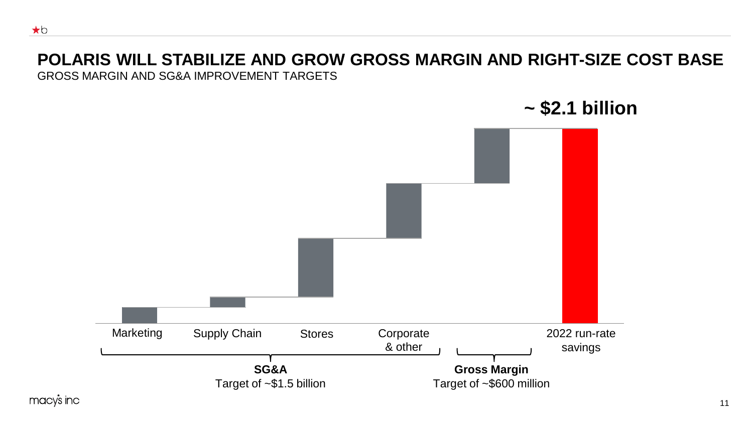### **POLARIS WILL STABILIZE AND GROW GROSS MARGIN AND RIGHT-SIZE COST BASE** GROSS MARGIN AND SG&A IMPROVEMENT TARGETS

Marketing Supply Chain 2 Stores Corporate & other 2022 run-rate savings **SG&A** Target of ~\$1.5 billion **Gross Margin** Target of ~\$600 million

**~ \$2.1 billion**

macy's inc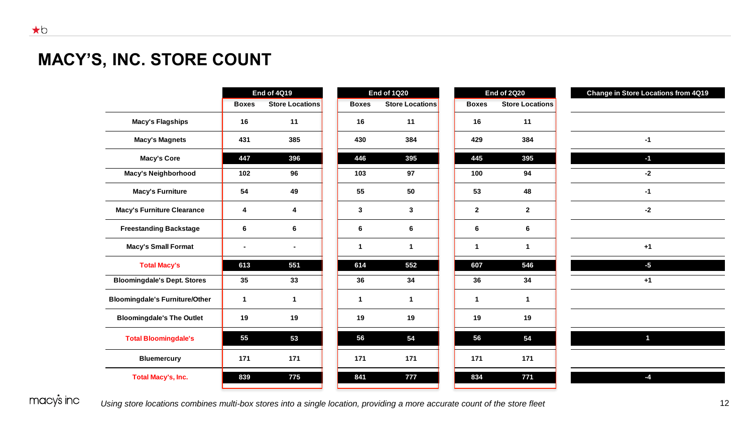# **Macy's, Inc. Store Count MACY'S, INC. STORE COUNT**

|                                       |              | <b>End of 4Q19</b>     |              | <b>End of 1Q20</b>     |              | <b>End of 2Q20</b> |
|---------------------------------------|--------------|------------------------|--------------|------------------------|--------------|--------------------|
|                                       | <b>Boxes</b> | <b>Store Locations</b> | <b>Boxes</b> | <b>Store Locations</b> | <b>Boxes</b> | Store Loc          |
| <b>Macy's Flagships</b>               | 16           | 11                     | 16           | 11                     | 16           | 11                 |
| <b>Macy's Magnets</b>                 | 431          | 385                    | 430          | 384                    | 429          | 384                |
| <b>Macy's Core</b>                    | 447          | 396                    | 446          | 395                    | 445          | 395                |
| Macy's Neighborhood                   | 102          | 96                     | 103          | 97                     | 100          | 94                 |
| <b>Macy's Furniture</b>               | 54           | 49                     | 55           | 50                     | 53           | 48                 |
| <b>Macy's Furniture Clearance</b>     | 4            | 4                      | 3            | 3                      | $\mathbf{2}$ | $\mathbf{2}$       |
| <b>Freestanding Backstage</b>         | 6            | 6                      | 6            | 6                      | 6            | 6                  |
| <b>Macy's Small Format</b>            |              |                        | 1            | 1                      | 1            | $\mathbf{1}$       |
| <b>Total Macy's</b>                   | 613          | 551                    | 614          | 552                    | 607          | 546                |
| <b>Bloomingdale's Dept. Stores</b>    | 35           | 33                     | 36           | 34                     | 36           | 34                 |
| <b>Bloomingdale's Furniture/Other</b> | 1            | $\mathbf{1}$           | 1            | $\mathbf{1}$           | 1            | 1                  |
| <b>Bloomingdale's The Outlet</b>      | 19           | 19                     | 19           | 19                     | 19           | 19                 |
| <b>Total Bloomingdale's</b>           | 55           | 53                     | 56           | 54                     | 56           | 54                 |
| <b>Bluemercury</b>                    | 171          | 171                    | 171          | 171                    | 171          | 171                |
| Total Macy's, Inc.                    | 839          | 775                    | 841          | $\frac{7}{7}$          | 834          | 771                |
|                                       |              |                        |              |                        |              |                    |

|              | <b>End of 4Q19</b>     |   |              | <b>End of 1Q20</b>     | <b>End of 2Q20</b> |                        |
|--------------|------------------------|---|--------------|------------------------|--------------------|------------------------|
| <b>Boxes</b> | <b>Store Locations</b> |   | <b>Boxes</b> | <b>Store Locations</b> | <b>Boxes</b>       | <b>Store Locations</b> |
| 16           | 11                     |   | 16           | 11                     | 16                 | 11                     |
| 431          | 385                    |   | 430          | 384                    | 429                | 384                    |
| 447          | 396                    |   | 446          | 395                    | 445                | 395                    |
| 102          | 96                     |   | 103          | 97                     | 100                | 94                     |
| 54           | 49                     |   | 55           | 50                     | 53                 | 48                     |
| 4            | 4                      | 3 |              | 3                      | $\mathbf 2$        | $\mathbf{2}$           |
| 6            | 6                      | 6 |              | 6                      | 6                  | 6                      |
|              |                        |   | 1            | 1                      | 1                  | 1                      |
| 613          | 551                    |   | 614          | 552                    | 607                | 546                    |
| 35           | 33                     |   | 36           | 34                     | 36                 | 34                     |
| 1            | 1                      |   | 1            | 1                      | $\mathbf{1}$       | 1                      |
| 19           | 19                     |   | 19           | 19                     | 19                 | 19                     |
| 55           | 53                     |   | 56           | 54                     | 56                 | 54                     |
| 171          | 171                    |   | 171          | 171                    | 171                | 171                    |
| 839          | 775                    |   | 841          | 777                    | 834                | 771                    |

|                         | End of 2Q20                  |
|-------------------------|------------------------------|
|                         | <b>Boxes</b> Store Locations |
| 16                      | 11                           |
| 429                     | 384                          |
| 445                     | 395                          |
| 100                     | 94                           |
| 53                      | 48                           |
| $\overline{\mathbf{c}}$ | 2                            |
| 6                       | 6                            |
| 1                       | 1                            |
| 607                     | 546                          |
| 36                      | 34                           |
| 1                       | 1                            |
| 19                      | 19                           |
| 56                      | 54                           |
| 171                     | 171                          |
| 834                     | $\overline{771}$             |

| Change in Store Locations from 4Q19 |
|-------------------------------------|
|                                     |
|                                     |
|                                     |
|                                     |
| $-1$                                |
|                                     |
| $\overline{\phantom{a}}$            |
| $-2$                                |
|                                     |
| $-1$                                |
|                                     |
| $-2$                                |
|                                     |
|                                     |
| $+1$                                |
|                                     |
| $-5$                                |
|                                     |
| $+1$                                |
|                                     |
|                                     |
|                                     |
|                                     |
|                                     |
| 1                                   |
|                                     |
|                                     |
|                                     |
| $\overline{4}$                      |

macy's inc

*Using store locations combines multi-box stores into a single location, providing a more accurate count of the store fleet*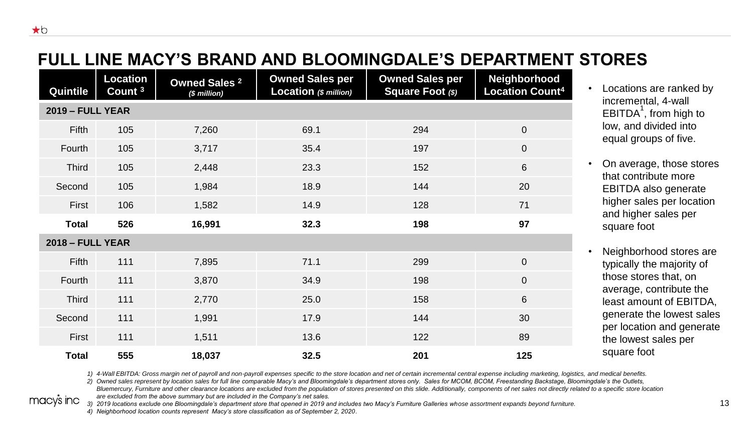$\star$ b

# **FULL LINE MACY'S BRAND AND BLOOMINGDALE'S DEPARTMENT STORES**

| Quintile                | <b>Location</b><br>Count <sup>3</sup> | Owned Sales <sup>2</sup><br>$$$ million) | <b>Owned Sales per</b><br>Location (\$ million) | <b>Owned Sales per</b><br>Square Foot (\$) | Neighborhood<br><b>Location Count4</b> |
|-------------------------|---------------------------------------|------------------------------------------|-------------------------------------------------|--------------------------------------------|----------------------------------------|
| <b>2019 - FULL YEAR</b> |                                       |                                          |                                                 |                                            |                                        |
| <b>Fifth</b>            | 105                                   | 7,260                                    | 69.1                                            | 294                                        | $\mathbf{0}$                           |
| Fourth                  | 105                                   | 3,717                                    | 35.4                                            | 197                                        | $\mathbf{0}$                           |
| Third                   | 105                                   | 2,448                                    | 23.3                                            | 152                                        | $6\phantom{1}6$                        |
| Second                  | 105                                   | 1,984                                    | 18.9                                            | 144                                        | 20                                     |
| First                   | 106                                   | 1,582                                    | 14.9                                            | 128                                        | 71                                     |
| <b>Total</b>            | 526                                   | 16,991                                   | 32.3                                            | 198                                        | 97                                     |
| <b>2018 - FULL YEAR</b> |                                       |                                          |                                                 |                                            |                                        |
| <b>Fifth</b>            | 111                                   | 7,895                                    | 71.1                                            | 299                                        | $\mathbf{0}$                           |
| Fourth                  | 111                                   | 3,870                                    | 34.9                                            | 198                                        | $\mathbf 0$                            |
| Third                   | 111                                   | 2,770                                    | 25.0                                            | 158                                        | $6\phantom{1}6$                        |
| Second                  | 111                                   | 1,991                                    | 17.9                                            | 144                                        | 30                                     |
| First                   | 111                                   | 1,511                                    | 13.6                                            | 122                                        | 89                                     |
| <b>Total</b>            | 555                                   | 18,037                                   | 32.5                                            | 201                                        | 125                                    |

- Locations are ranked by incremental, 4-wall  $EBITDA<sup>1</sup>$ , from high to low, and divided into equal groups of five.
- On average, those stores that contribute more EBITDA also generate higher sales per location and higher sales per square foot
- Neighborhood stores are typically the majority of those stores that, on average, contribute the least amount of EBITDA, generate the lowest sales per location and generate the lowest sales per square foot

*1) 4-Wall EBITDA: Gross margin net of payroll and non-payroll expenses specific to the store location and net of certain incremental central expense including marketing, logistics, and medical benefits.*

*2) Owned sales represent by location sales for full line comparable Macy's and Bloomingdale's department stores only. Sales for MCOM, BCOM, Freestanding Backstage, Bloomingdale's the Outlets,* 

Bluemercury, Furniture and other clearance locations are excluded from the population of stores presented on this slide. Additionally, components of net sales not directly related to a specific store location *are excluded from the above summary but are included in the Company's net sales.* 

macy's inc *3) 2019 locations exclude one Bloomingdale's department store that opened in 2019 and includes two Macy's Furniture Galleries whose assortment expands beyond furniture. 4) Neighborhood location counts represent Macy's store classification as of September 2, 2020*.

13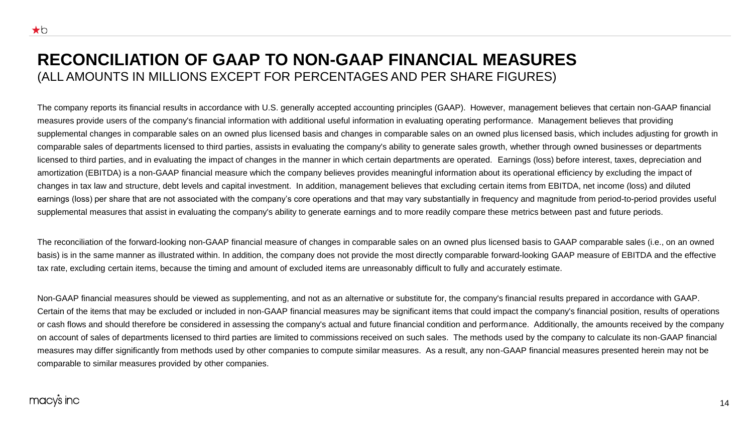# **RECONCILIATION OF GAAP TO NON-GAAP FINANCIAL MEASURES**  (ALL AMOUNTS IN MILLIONS EXCEPT FOR PERCENTAGES AND PER SHARE FIGURES)

The company reports its financial results in accordance with U.S. generally accepted accounting principles (GAAP). However, management believes that certain non-GAAP financial measures provide users of the company's financial information with additional useful information in evaluating operating performance. Management believes that providing supplemental changes in comparable sales on an owned plus licensed basis and changes in comparable sales on an owned plus licensed basis, which includes adjusting for growth in comparable sales of departments licensed to third parties, assists in evaluating the company's ability to generate sales growth, whether through owned businesses or departments licensed to third parties, and in evaluating the impact of changes in the manner in which certain departments are operated. Earnings (loss) before interest, taxes, depreciation and amortization (EBITDA) is a non-GAAP financial measure which the company believes provides meaningful information about its operational efficiency by excluding the impact of changes in tax law and structure, debt levels and capital investment. In addition, management believes that excluding certain items from EBITDA, net income (loss) and diluted earnings (loss) per share that are not associated with the company's core operations and that may vary substantially in frequency and magnitude from period-to-period provides useful supplemental measures that assist in evaluating the company's ability to generate earnings and to more readily compare these metrics between past and future periods.

The reconciliation of the forward-looking non-GAAP financial measure of changes in comparable sales on an owned plus licensed basis to GAAP comparable sales (i.e., on an owned basis) is in the same manner as illustrated within. In addition, the company does not provide the most directly comparable forward-looking GAAP measure of EBITDA and the effective tax rate, excluding certain items, because the timing and amount of excluded items are unreasonably difficult to fully and accurately estimate.

Non-GAAP financial measures should be viewed as supplementing, and not as an alternative or substitute for, the company's financial results prepared in accordance with GAAP. Certain of the items that may be excluded or included in non-GAAP financial measures may be significant items that could impact the company's financial position, results of operations or cash flows and should therefore be considered in assessing the company's actual and future financial condition and performance. Additionally, the amounts received by the company on account of sales of departments licensed to third parties are limited to commissions received on such sales. The methods used by the company to calculate its non-GAAP financial measures may differ significantly from methods used by other companies to compute similar measures. As a result, any non-GAAP financial measures presented herein may not be comparable to similar measures provided by other companies.

#### macy's inc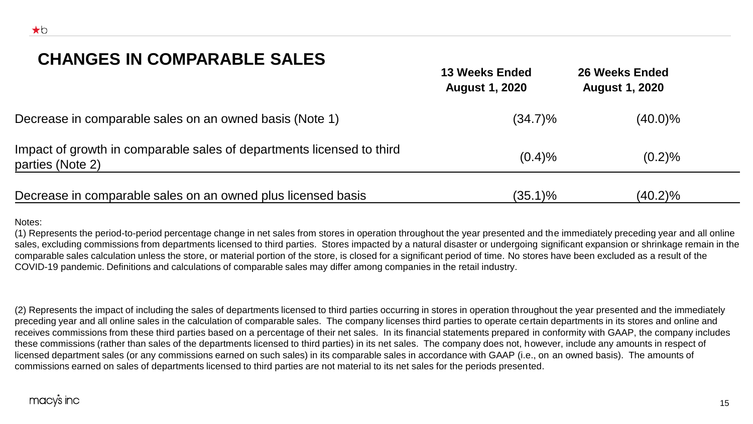# **CHANGES IN COMPARABLE SALES**

|                                                                                           | <b>13 Weeks Ended</b><br><b>August 1, 2020</b> | <b>26 Weeks Ended</b><br><b>August 1, 2020</b> |  |
|-------------------------------------------------------------------------------------------|------------------------------------------------|------------------------------------------------|--|
| Decrease in comparable sales on an owned basis (Note 1)                                   | $(34.7)\%$                                     | $(40.0)\%$                                     |  |
| Impact of growth in comparable sales of departments licensed to third<br>parties (Note 2) | (0.4)%                                         | (0.2)%                                         |  |
| Decrease in comparable sales on an owned plus licensed basis                              | (35.1)%                                        | $(40.2)\%$                                     |  |

#### Notes:

(1) Represents the period-to-period percentage change in net sales from stores in operation throughout the year presented and the immediately preceding year and all online sales, excluding commissions from departments licensed to third parties. Stores impacted by a natural disaster or undergoing significant expansion or shrinkage remain in the comparable sales calculation unless the store, or material portion of the store, is closed for a significant period of time. No stores have been excluded as a result of the COVID-19 pandemic. Definitions and calculations of comparable sales may differ among companies in the retail industry.

(2) Represents the impact of including the sales of departments licensed to third parties occurring in stores in operation throughout the year presented and the immediately preceding year and all online sales in the calculation of comparable sales. The company licenses third parties to operate certain departments in its stores and online and receives commissions from these third parties based on a percentage of their net sales. In its financial statements prepared in conformity with GAAP, the company includes these commissions (rather than sales of the departments licensed to third parties) in its net sales. The company does not, however, include any amounts in respect of licensed department sales (or any commissions earned on such sales) in its comparable sales in accordance with GAAP (i.e., on an owned basis). The amounts of commissions earned on sales of departments licensed to third parties are not material to its net sales for the periods presented.

#### macy's inc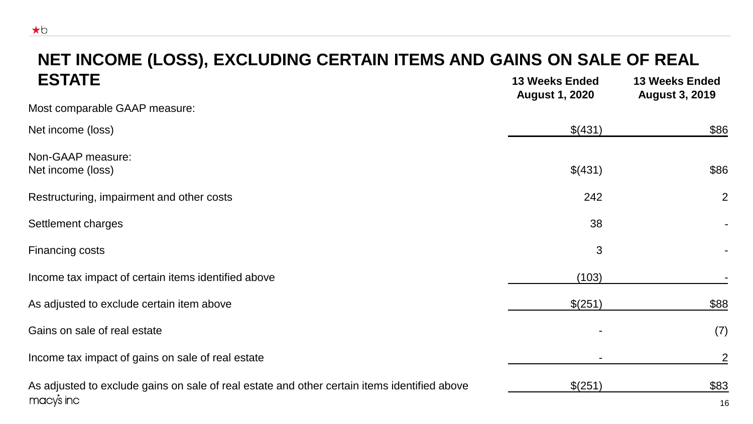#### **13 Weeks Ended 13 Weeks Ended NET INCOME (LOSS), EXCLUDING CERTAIN ITEMS AND GAINS ON SALE OF REAL ESTATE**

| LJIAIL                                                                                       | TS MEERS ENGED<br><b>August 1, 2020</b> | <b>13 WEEKS ENGEG</b><br><b>August 3, 2019</b> |
|----------------------------------------------------------------------------------------------|-----------------------------------------|------------------------------------------------|
| Most comparable GAAP measure:                                                                |                                         |                                                |
| Net income (loss)                                                                            | \$(431)                                 | \$86                                           |
| Non-GAAP measure:<br>Net income (loss)                                                       | \$(431)                                 | \$86                                           |
| Restructuring, impairment and other costs                                                    | 242                                     | $\overline{2}$                                 |
| Settlement charges                                                                           | 38                                      |                                                |
| Financing costs                                                                              | 3                                       |                                                |
| Income tax impact of certain items identified above                                          | (103)                                   |                                                |
| As adjusted to exclude certain item above                                                    | \$(251)                                 | \$88                                           |
| Gains on sale of real estate                                                                 |                                         | (7)                                            |
| Income tax impact of gains on sale of real estate                                            |                                         | 2                                              |
| As adjusted to exclude gains on sale of real estate and other certain items identified above | \$(251)                                 | \$83                                           |

 $\star$ b

macys inc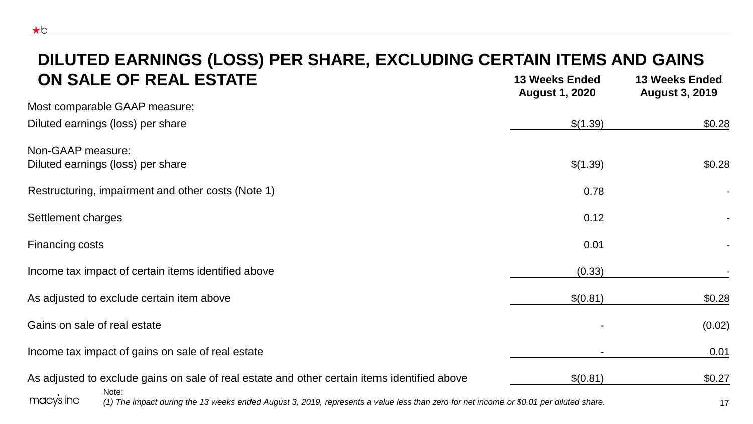#### **13 Weeks Ended 13 Weeks Ended DILUTED EARNINGS (LOSS) PER SHARE, EXCLUDING CERTAIN ITEMS AND GAINS ON SALE OF REAL ESTATE**

| UN SALE UF REAL ESTATE                                                                                                                               | IJ WEENS LIIUEU<br><b>August 1, 2020</b> | <b>IS MEEVS EIINEN</b><br><b>August 3, 2019</b> |
|------------------------------------------------------------------------------------------------------------------------------------------------------|------------------------------------------|-------------------------------------------------|
| Most comparable GAAP measure:                                                                                                                        |                                          |                                                 |
| Diluted earnings (loss) per share                                                                                                                    | \$(1.39)                                 | \$0.28                                          |
| Non-GAAP measure:<br>Diluted earnings (loss) per share                                                                                               | \$(1.39)                                 | \$0.28                                          |
| Restructuring, impairment and other costs (Note 1)                                                                                                   | 0.78                                     |                                                 |
| Settlement charges                                                                                                                                   | 0.12                                     |                                                 |
| Financing costs                                                                                                                                      | 0.01                                     |                                                 |
| Income tax impact of certain items identified above                                                                                                  | (0.33)                                   |                                                 |
| As adjusted to exclude certain item above                                                                                                            | \$(0.81)                                 | \$0.28                                          |
| Gains on sale of real estate                                                                                                                         |                                          | (0.02)                                          |
| Income tax impact of gains on sale of real estate                                                                                                    |                                          | 0.01                                            |
| As adjusted to exclude gains on sale of real estate and other certain items identified above<br>Note:                                                | \$(0.81)                                 | \$0.27                                          |
| macy's inc<br>(1) The impact during the 13 weeks ended August 3, 2019, represents a value less than zero for net income or \$0.01 per diluted share. |                                          | 17                                              |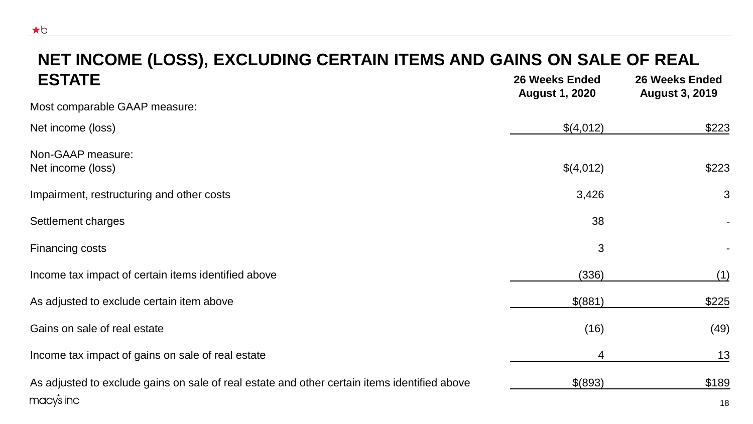#### **26 Weeks Ended 26 Weeks Ended NET INCOME (LOSS), EXCLUDING CERTAIN ITEMS AND GAINS ON SALE OF REAL ESTATE**

| ESIALE                                                                                       | zo weeks Engeg<br><b>August 1, 2020</b> | zo weeks Engeg<br><b>August 3, 2019</b> |
|----------------------------------------------------------------------------------------------|-----------------------------------------|-----------------------------------------|
| Most comparable GAAP measure:                                                                |                                         |                                         |
| Net income (loss)                                                                            | \$(4,012)                               | \$223                                   |
| Non-GAAP measure:<br>Net income (loss)                                                       | \$(4,012)                               | \$223                                   |
| Impairment, restructuring and other costs                                                    | 3,426                                   | 3                                       |
| Settlement charges                                                                           | 38                                      |                                         |
| Financing costs                                                                              | 3                                       |                                         |
| Income tax impact of certain items identified above                                          | (336)                                   | (1)                                     |
| As adjusted to exclude certain item above                                                    | \$(881)                                 | \$225                                   |
| Gains on sale of real estate                                                                 | (16)                                    | (49)                                    |
| Income tax impact of gains on sale of real estate                                            | 4                                       | 13                                      |
| As adjusted to exclude gains on sale of real estate and other certain items identified above | \$(893)                                 | \$189                                   |
| macy's inc                                                                                   |                                         | 18                                      |